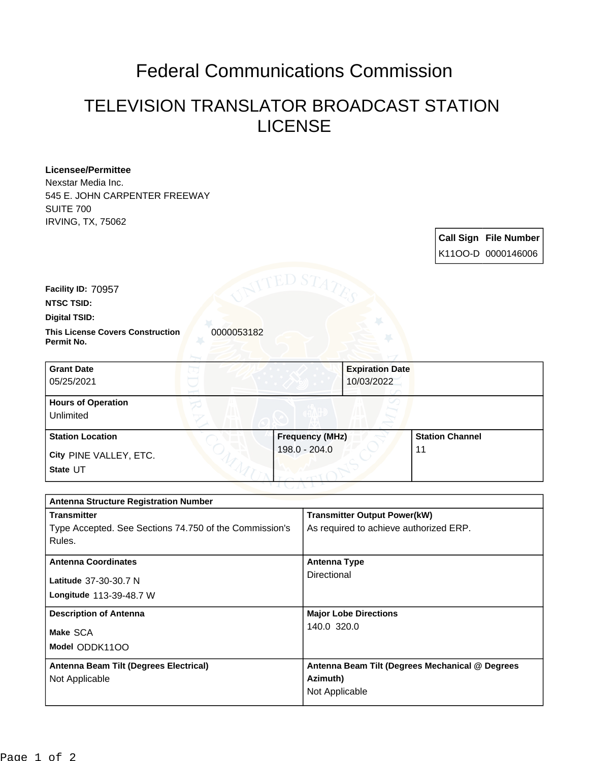## Federal Communications Commission

## TELEVISION TRANSLATOR BROADCAST STATION LICENSE

| <b>Licensee/Permittee</b><br>Nexstar Media Inc.                               |                        |                                                                               |                              |                                                 |                              |
|-------------------------------------------------------------------------------|------------------------|-------------------------------------------------------------------------------|------------------------------|-------------------------------------------------|------------------------------|
| 545 E. JOHN CARPENTER FREEWAY<br><b>SUITE 700</b><br><b>IRVING, TX, 75062</b> |                        |                                                                               |                              |                                                 |                              |
|                                                                               |                        |                                                                               |                              |                                                 | <b>Call Sign File Number</b> |
|                                                                               |                        |                                                                               |                              |                                                 | K11OO-D 0000146006           |
|                                                                               | ED S7                  |                                                                               |                              |                                                 |                              |
| Facility ID: 70957                                                            |                        |                                                                               |                              |                                                 |                              |
| <b>NTSC TSID:</b>                                                             |                        |                                                                               |                              |                                                 |                              |
| <b>Digital TSID:</b>                                                          |                        |                                                                               |                              |                                                 |                              |
| 0000053182<br><b>This License Covers Construction</b><br>Permit No.           |                        |                                                                               |                              |                                                 |                              |
| <b>Grant Date</b>                                                             |                        |                                                                               | <b>Expiration Date</b>       |                                                 |                              |
| 05/25/2021                                                                    |                        |                                                                               | 10/03/2022                   |                                                 |                              |
| <b>Hours of Operation</b>                                                     |                        |                                                                               |                              |                                                 |                              |
| Unlimited                                                                     |                        |                                                                               |                              |                                                 |                              |
| <b>Station Location</b>                                                       | <b>Frequency (MHz)</b> |                                                                               | <b>Station Channel</b>       |                                                 |                              |
| City PINE VALLEY, ETC.                                                        |                        | 198.0 - 204.0                                                                 |                              | 11                                              |                              |
| State UT                                                                      |                        |                                                                               |                              |                                                 |                              |
|                                                                               |                        |                                                                               |                              |                                                 |                              |
| <b>Antenna Structure Registration Number</b><br><b>Transmitter</b>            |                        |                                                                               |                              |                                                 |                              |
| Type Accepted. See Sections 74.750 of the Commission's                        |                        | <b>Transmitter Output Power(kW)</b><br>As required to achieve authorized ERP. |                              |                                                 |                              |
| Rules.                                                                        |                        |                                                                               |                              |                                                 |                              |
| <b>Antenna Coordinates</b>                                                    |                        | <b>Antenna Type</b>                                                           |                              |                                                 |                              |
| Latitude 37-30-30.7 N                                                         |                        | Directional                                                                   |                              |                                                 |                              |
| Longitude 113-39-48.7 W                                                       |                        |                                                                               |                              |                                                 |                              |
| <b>Description of Antenna</b>                                                 |                        |                                                                               | <b>Major Lobe Directions</b> |                                                 |                              |
| Make SCA                                                                      |                        | 140.0 320.0                                                                   |                              |                                                 |                              |
| Model ODDK1100                                                                |                        |                                                                               |                              |                                                 |                              |
| Antenna Beam Tilt (Degrees Electrical)                                        |                        |                                                                               |                              | Antenna Beam Tilt (Degrees Mechanical @ Degrees |                              |
| Not Applicable                                                                |                        | Azimuth)                                                                      |                              |                                                 |                              |

Not Applicable